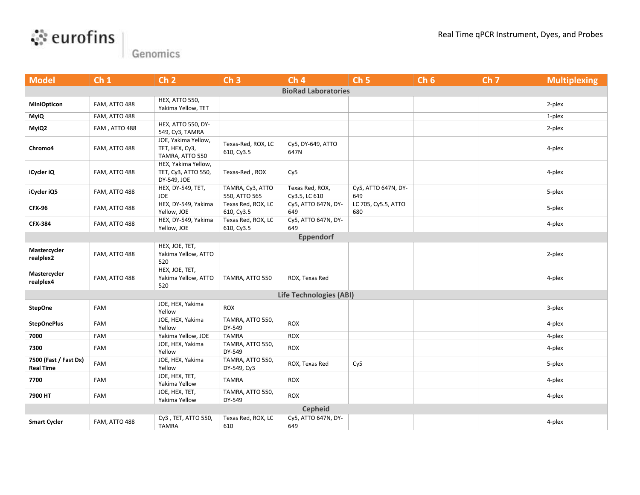



Genomics

| <b>Model</b>                              | Ch <sub>1</sub> | Ch <sub>2</sub>                                           | Ch <sub>3</sub>                   | Ch <sub>4</sub>                  | Ch <sub>5</sub>            | Ch <sub>6</sub> | Ch <sub>7</sub> | <b>Multiplexing</b> |  |  |
|-------------------------------------------|-----------------|-----------------------------------------------------------|-----------------------------------|----------------------------------|----------------------------|-----------------|-----------------|---------------------|--|--|
| <b>BioRad Laboratories</b>                |                 |                                                           |                                   |                                  |                            |                 |                 |                     |  |  |
| <b>MiniOpticon</b>                        | FAM, ATTO 488   | HEX, ATTO 550,<br>Yakima Yellow, TET                      |                                   |                                  |                            |                 |                 | 2-plex              |  |  |
| <b>MyiQ</b>                               | FAM, ATTO 488   |                                                           |                                   |                                  |                            |                 |                 | 1-plex              |  |  |
| MyiQ2                                     | FAM, ATTO 488   | <b>HEX, ATTO 550, DY-</b><br>549, Cy3, TAMRA              |                                   |                                  |                            |                 |                 | 2-plex              |  |  |
| Chromo4                                   | FAM, ATTO 488   | JOE, Yakima Yellow,<br>TET, HEX, Cy3,<br>TAMRA, ATTO 550  | Texas-Red, ROX, LC<br>610, Cy3.5  | Cy5, DY-649, ATTO<br>647N        |                            |                 |                 | 4-plex              |  |  |
| iCycler iQ                                | FAM, ATTO 488   | HEX, Yakima Yellow,<br>TET, Cy3, ATTO 550,<br>DY-549, JOE | Texas-Red, ROX                    | Cy <sub>5</sub>                  |                            |                 |                 | 4-plex              |  |  |
| iCycler iQ5                               | FAM, ATTO 488   | HEX, DY-549, TET,<br>JOE                                  | TAMRA, Cy3, ATTO<br>550, ATTO 565 | Texas Red, ROX,<br>Cy3.5, LC 610 | Cy5, ATTO 647N, DY-<br>649 |                 |                 | 5-plex              |  |  |
| <b>CFX-96</b>                             | FAM, ATTO 488   | HEX, DY-549, Yakima<br>Yellow, JOE                        | Texas Red, ROX, LC<br>610, Cy3.5  | Cy5, ATTO 647N, DY-<br>649       | LC 705, Cy5.5, ATTO<br>680 |                 |                 | 5-plex              |  |  |
| <b>CFX-384</b>                            | FAM, ATTO 488   | HEX, DY-549, Yakima<br>Yellow, JOE                        | Texas Red, ROX, LC<br>610, Cy3.5  | Cy5, ATTO 647N, DY-<br>649       |                            |                 |                 | 4-plex              |  |  |
|                                           |                 |                                                           |                                   | <b>Eppendorf</b>                 |                            |                 |                 |                     |  |  |
| Mastercycler<br>realplex2                 | FAM, ATTO 488   | HEX, JOE, TET,<br>Yakima Yellow, ATTO<br>520              |                                   |                                  |                            |                 |                 | 2-plex              |  |  |
| Mastercycler<br>realplex4                 | FAM, ATTO 488   | HEX, JOE, TET,<br>Yakima Yellow, ATTO<br>520              | TAMRA, ATTO 550                   | ROX, Texas Red                   |                            |                 |                 | 4-plex              |  |  |
| <b>Life Technologies (ABI)</b>            |                 |                                                           |                                   |                                  |                            |                 |                 |                     |  |  |
| <b>StepOne</b>                            | <b>FAM</b>      | JOE, HEX, Yakima<br>Yellow                                | <b>ROX</b>                        |                                  |                            |                 |                 | 3-plex              |  |  |
| <b>StepOnePlus</b>                        | <b>FAM</b>      | JOE, HEX, Yakima<br>Yellow                                | TAMRA, ATTO 550,<br>DY-549        | <b>ROX</b>                       |                            |                 |                 | 4-plex              |  |  |
| 7000                                      | <b>FAM</b>      | Yakima Yellow, JOE                                        | <b>TAMRA</b>                      | <b>ROX</b>                       |                            |                 |                 | 4-plex              |  |  |
| 7300                                      | FAM             | JOE, HEX, Yakima<br>Yellow                                | TAMRA, ATTO 550,<br>DY-549        | <b>ROX</b>                       |                            |                 |                 | 4-plex              |  |  |
| 7500 (Fast / Fast Dx)<br><b>Real Time</b> | FAM             | JOE, HEX, Yakima<br>Yellow                                | TAMRA, ATTO 550,<br>DY-549, Cy3   | ROX, Texas Red                   | Cy <sub>5</sub>            |                 |                 | 5-plex              |  |  |
| 7700                                      | FAM             | JOE, HEX, TET,<br>Yakima Yellow                           | <b>TAMRA</b>                      | ROX                              |                            |                 |                 | 4-plex              |  |  |
| 7900 HT                                   | <b>FAM</b>      | JOE, HEX, TET,<br>Yakima Yellow                           | TAMRA, ATTO 550,<br>DY-549        | ROX                              |                            |                 |                 | 4-plex              |  |  |
| <b>Cepheid</b>                            |                 |                                                           |                                   |                                  |                            |                 |                 |                     |  |  |
| <b>Smart Cycler</b>                       | FAM, ATTO 488   | Cy3, TET, ATTO 550,<br><b>TAMRA</b>                       | Texas Red, ROX, LC<br>610         | Cy5, ATTO 647N, DY-<br>649       |                            |                 |                 | 4-plex              |  |  |